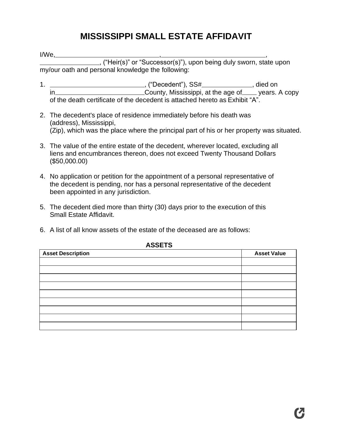## **MISSISSIPPI SMALL ESTATE AFFIDAVIT**

 $I/We$ ,  $\qquad \qquad$ 

, ("Heir(s)" or "Successor(s)"), upon being duly sworn, state upon my/our oath and personal knowledge the following:

- 1. <u>\_\_\_\_\_\_\_\_\_\_\_\_\_\_\_\_\_\_\_\_\_\_\_\_\_\_\_\_\_\_\_,</u> ("Decedent"), SS# \_\_\_\_\_\_\_\_\_\_\_\_\_, died on in \_\_\_\_\_\_\_\_\_\_\_\_\_\_\_\_\_\_\_\_\_\_\_\_\_\_\_\_\_\_County, Mississippi, at the age of \_\_\_\_ years. A copy of the death certificate of the decedent is attached hereto as Exhibit "A".
- 2. The decedent's place of residence immediately before his death was (address), Mississippi, (Zip), which was the place where the principal part of his or her property was situated.
- 3. The value of the entire estate of the decedent, wherever located, excluding all liens and encumbrances thereon, does not exceed Twenty Thousand Dollars (\$50,000.00)
- 4. No application or petition for the appointment of a personal representative of the decedent is pending, nor has a personal representative of the decedent been appointed in any jurisdiction.
- 5. The decedent died more than thirty (30) days prior to the execution of this Small Estate Affidavit.
- 6. A list of all know assets of the estate of the deceased are as follows:

| .                        |                    |  |
|--------------------------|--------------------|--|
| <b>Asset Description</b> | <b>Asset Value</b> |  |
|                          |                    |  |
|                          |                    |  |
|                          |                    |  |
|                          |                    |  |
|                          |                    |  |
|                          |                    |  |
|                          |                    |  |
|                          |                    |  |
|                          |                    |  |
|                          |                    |  |

**ASSETS**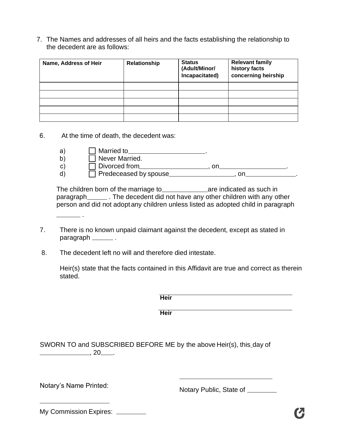7. The Names and addresses of all heirs and the facts establishing the relationship to the decedent are as follows:

| Name, Address of Heir | Relationship | <b>Status</b><br>(Adult/Minor/<br>Incapacitated) | <b>Relevant family</b><br>history facts<br>concerning heirship |
|-----------------------|--------------|--------------------------------------------------|----------------------------------------------------------------|
|                       |              |                                                  |                                                                |
|                       |              |                                                  |                                                                |
|                       |              |                                                  |                                                                |
|                       |              |                                                  |                                                                |
|                       |              |                                                  |                                                                |

6. At the time of death, the decedent was:

.

| a)           | Married to                   |  |
|--------------|------------------------------|--|
| b)           | Never Married.               |  |
| $\mathsf{C}$ | $\Box$ Divorced from         |  |
| d            | $\Box$ Predeceased by spouse |  |

The children born of the marriage to **are are indicated as such in** paragraph \_\_\_\_\_\_\_. The decedent did not have any other children with any other person and did not adopt any children unless listed as adopted child in paragraph

- 7. There is no known unpaid claimant against the decedent, except as stated in paragraph \_\_\_\_\_\_\_\_.
- 8. The decedent left no will and therefore died intestate.

Heir(s) state that the facts contained in this Affidavit are true and correct as therein stated.

|                                                                                  | <b>Heir</b> |
|----------------------------------------------------------------------------------|-------------|
|                                                                                  | <b>Heir</b> |
| SWORN TO and SUBSCRIBED BEFORE ME by the above Heir(s), this_day of<br><b>20</b> |             |

Notary's Name Printed:<br>
Notary Public, State of <u>Community</u>

My Commission Expires: \_\_\_\_\_\_\_\_\_